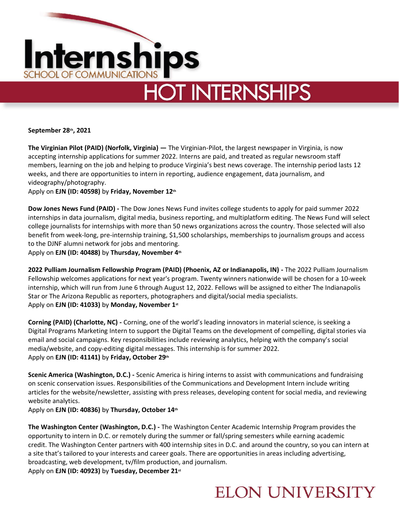

## **HOT INTERNSHIPS**

**September 28th, 2021** 

**The Virginian Pilot (PAID) (Norfolk, Virginia) —** The Virginian-Pilot, the largest newspaper in Virginia, is now accepting internship applications for summer 2022. Interns are paid, and treated as regular newsroom staff members, learning on the job and helping to produce Virginia's best news coverage. The internship period lasts 12 weeks, and there are opportunities to intern in reporting, audience engagement, data journalism, and videography/photography.

Apply on **EJN (ID: 40598)** by **Friday, November 12th**

**Dow Jones News Fund (PAID) -** The Dow Jones News Fund invites college students to apply for paid summer 2022 internships in data journalism, digital media, business reporting, and multiplatform editing. The News Fund will select college journalists for internships with more than 50 news organizations across the country. Those selected will also benefit from week-long, pre-internship training, \$1,500 scholarships, memberships to journalism groups and access to the DJNF alumni network for jobs and mentoring.

Apply on **EJN (ID: 40488)** by **Thursday, November 4th**

**2022 Pulliam Journalism Fellowship Program (PAID) (Phoenix, AZ or Indianapolis, IN) -** The 2022 Pulliam Journalism Fellowship welcomes applications for next year's program. Twenty winners nationwide will be chosen for a 10-week internship, which will run from June 6 through August 12, 2022. Fellows will be assigned to either The Indianapolis Star or The Arizona Republic as reporters, photographers and digital/social media specialists. Apply on **EJN (ID: 41033)** by **Monday, November 1st**

**Corning (PAID) (Charlotte, NC) -** Corning, one of the world's leading innovators in material science, is seeking a Digital Programs Marketing Intern to support the Digital Teams on the development of compelling, digital stories via email and social campaigns. Key responsibilities include reviewing analytics, helping with the company's social media/website, and copy-editing digital messages. This internship is for summer 2022. Apply on **EJN (ID: 41141)** by **Friday, October 29th** 

**Scenic America (Washington, D.C.) -** Scenic America is hiring interns to assist with communications and fundraising on scenic conservation issues. Responsibilities of the Communications and Development Intern include writing articles for the website/newsletter, assisting with press releases, developing content for social media, and reviewing website analytics.

Apply on **EJN (ID: 40836)** by **Thursday, October 14th**

**The Washington Center (Washington, D.C.) -** The Washington Center Academic Internship Program provides the opportunity to intern in D.C. or remotely during the summer or fall/spring semesters while earning academic credit. The Washington Center partners with 400 internship sites in D.C. and around the country, so you can intern at a site that's tailored to your interests and career goals. There are opportunities in areas including advertising, broadcasting, web development, tv/film production, and journalism. Apply on **EJN (ID: 40923)** by **Tuesday, December 21st**

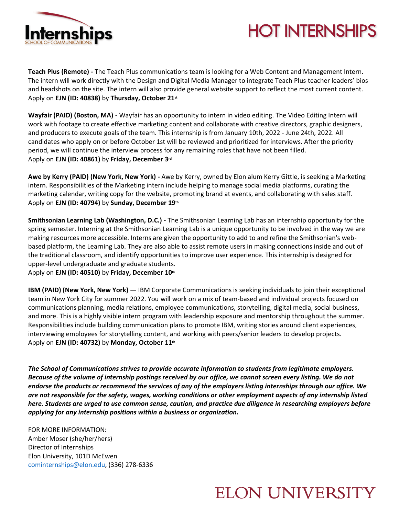

## **HOT INTERNSHIPS**

**Teach Plus (Remote) -** The Teach Plus communications team is looking for a Web Content and Management Intern. The intern will work directly with the Design and Digital Media Manager to integrate Teach Plus teacher leaders' bios and headshots on the site. The intern will also provide general website support to reflect the most current content. Apply on **EJN (ID: 40838)** by **Thursday, October 21st**

**Wayfair (PAID) (Boston, MA)** - Wayfair has an opportunity to intern in video editing. The Video Editing Intern will work with footage to create effective marketing content and collaborate with creative directors, graphic designers, and producers to execute goals of the team. This internship is from January 10th, 2022 - June 24th, 2022. All candidates who apply on or before October 1st will be reviewed and prioritized for interviews. After the priority period, we will continue the interview process for any remaining roles that have not been filled. Apply on **EJN (ID: 40861)** by **Friday, December 3rd**

**Awe by Kerry (PAID) (New York, New York) -** Awe by Kerry, owned by Elon alum Kerry Gittle, is seeking a Marketing intern. Responsibilities of the Marketing intern include helping to manage social media platforms, curating the marketing calendar, writing copy for the website, promoting brand at events, and collaborating with sales staff. Apply on **EJN (ID: 40794)** by **Sunday, December 19th**

**Smithsonian Learning Lab (Washington, D.C.) -** The Smithsonian Learning Lab has an internship opportunity for the spring semester. Interning at the Smithsonian Learning Lab is a unique opportunity to be involved in the way we are making resources more accessible. Interns are given the opportunity to add to and refine the Smithsonian's webbased platform, the Learning Lab. They are also able to assist remote users in making connections inside and out of the traditional classroom, and identify opportunities to improve user experience. This internship is designed for upper-level undergraduate and graduate students.

Apply on **EJN (ID: 40510)** by **Friday, December 10th**

**IBM (PAID) (New York, New York) —** IBM Corporate Communications is seeking individuals to join their exceptional team in New York City for summer 2022. You will work on a mix of team-based and individual projects focused on communications planning, media relations, employee communications, storytelling, digital media, social business, and more. This is a highly visible intern program with leadership exposure and mentorship throughout the summer. Responsibilities include building communication plans to promote IBM, writing stories around client experiences, interviewing employees for storytelling content, and working with peers/senior leaders to develop projects. Apply on **EJN (ID: 40732)** by **Monday, October 11th**

*The School of Communications strives to provide accurate information to students from legitimate employers. Because of the volume of internship postings received by our office, we cannot screen every listing. We do not endorse the products or recommend the services of any of the employers listing internships through our office. We are not responsible for the safety, wages, working conditions or other employment aspects of any internship listed here. Students are urged to use common sense, caution, and practice due diligence in researching employers before applying for any internship positions within a business or organization.*

FOR MORE INFORMATION: Amber Moser (she/her/hers) Director of Internships Elon University, 101D McEwen [cominternships@elon.edu,](mailto:cominternships@elon.edu) (336) 278-6336

## **ELON UNIVERSITY**